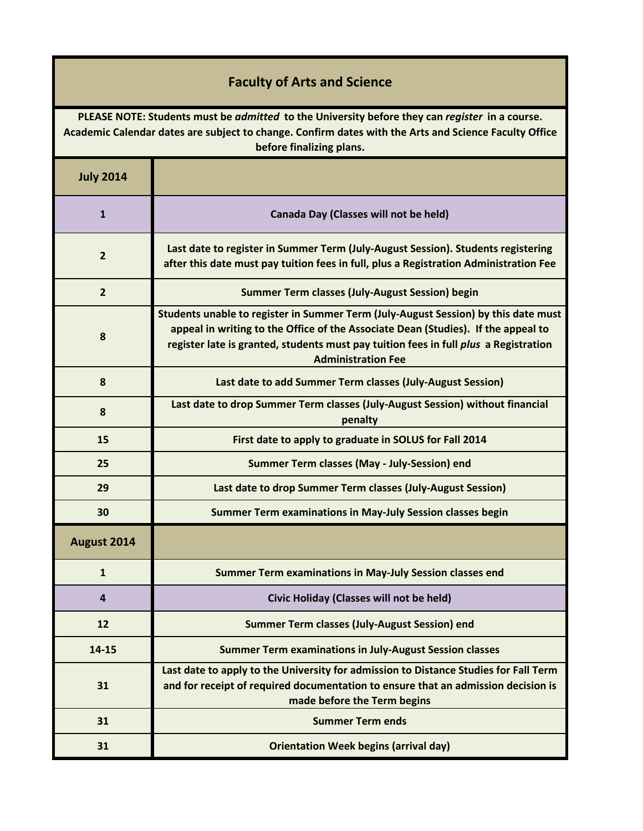## **Faculty of Arts and Science**

**PLEASE NOTE: Students must be** *admitted* **to the University before they can** *register* **in a course. Academic Calendar dates are subject to change. Confirm dates with the Arts and Science Faculty Office before finalizing plans.**

| <b>July 2014</b> |                                                                                                                                                                                                                                                                                              |
|------------------|----------------------------------------------------------------------------------------------------------------------------------------------------------------------------------------------------------------------------------------------------------------------------------------------|
| $\mathbf{1}$     | Canada Day (Classes will not be held)                                                                                                                                                                                                                                                        |
| $\overline{2}$   | Last date to register in Summer Term (July-August Session). Students registering<br>after this date must pay tuition fees in full, plus a Registration Administration Fee                                                                                                                    |
| $\overline{2}$   | <b>Summer Term classes (July-August Session) begin</b>                                                                                                                                                                                                                                       |
| 8                | Students unable to register in Summer Term (July-August Session) by this date must<br>appeal in writing to the Office of the Associate Dean (Studies). If the appeal to<br>register late is granted, students must pay tuition fees in full plus a Registration<br><b>Administration Fee</b> |
| 8                | Last date to add Summer Term classes (July-August Session)                                                                                                                                                                                                                                   |
| 8                | Last date to drop Summer Term classes (July-August Session) without financial<br>penalty                                                                                                                                                                                                     |
| 15               | First date to apply to graduate in SOLUS for Fall 2014                                                                                                                                                                                                                                       |
| 25               | Summer Term classes (May - July-Session) end                                                                                                                                                                                                                                                 |
| 29               | Last date to drop Summer Term classes (July-August Session)                                                                                                                                                                                                                                  |
| 30               | Summer Term examinations in May-July Session classes begin                                                                                                                                                                                                                                   |
| August 2014      |                                                                                                                                                                                                                                                                                              |
| $\mathbf{1}$     | Summer Term examinations in May-July Session classes end                                                                                                                                                                                                                                     |
| $\overline{4}$   | Civic Holiday (Classes will not be held)                                                                                                                                                                                                                                                     |
| 12               | <b>Summer Term classes (July-August Session) end</b>                                                                                                                                                                                                                                         |
| 14-15            | <b>Summer Term examinations in July-August Session classes</b>                                                                                                                                                                                                                               |
| 31               | Last date to apply to the University for admission to Distance Studies for Fall Term<br>and for receipt of required documentation to ensure that an admission decision is<br>made before the Term begins                                                                                     |
| 31               | <b>Summer Term ends</b>                                                                                                                                                                                                                                                                      |
| 31               | <b>Orientation Week begins (arrival day)</b>                                                                                                                                                                                                                                                 |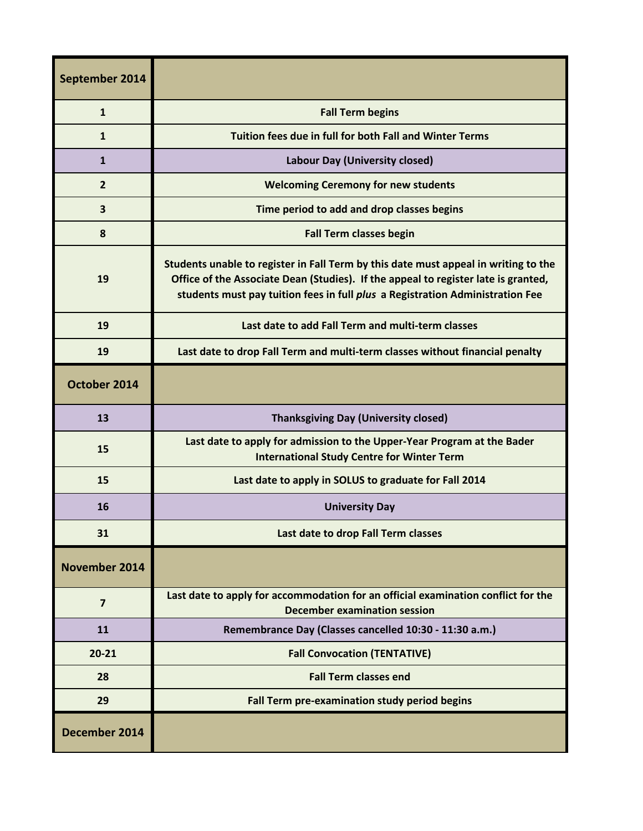| September 2014 |                                                                                                                                                                                                                                                            |
|----------------|------------------------------------------------------------------------------------------------------------------------------------------------------------------------------------------------------------------------------------------------------------|
| $\mathbf{1}$   | <b>Fall Term begins</b>                                                                                                                                                                                                                                    |
| $\mathbf{1}$   | Tuition fees due in full for both Fall and Winter Terms                                                                                                                                                                                                    |
| $\mathbf{1}$   | Labour Day (University closed)                                                                                                                                                                                                                             |
| $\overline{2}$ | <b>Welcoming Ceremony for new students</b>                                                                                                                                                                                                                 |
| 3              | Time period to add and drop classes begins                                                                                                                                                                                                                 |
| 8              | <b>Fall Term classes begin</b>                                                                                                                                                                                                                             |
| 19             | Students unable to register in Fall Term by this date must appeal in writing to the<br>Office of the Associate Dean (Studies). If the appeal to register late is granted,<br>students must pay tuition fees in full plus a Registration Administration Fee |
| 19             | Last date to add Fall Term and multi-term classes                                                                                                                                                                                                          |
| 19             | Last date to drop Fall Term and multi-term classes without financial penalty                                                                                                                                                                               |
| October 2014   |                                                                                                                                                                                                                                                            |
| 13             | <b>Thanksgiving Day (University closed)</b>                                                                                                                                                                                                                |
| 15             | Last date to apply for admission to the Upper-Year Program at the Bader<br><b>International Study Centre for Winter Term</b>                                                                                                                               |
| 15             | Last date to apply in SOLUS to graduate for Fall 2014                                                                                                                                                                                                      |
| 16             | <b>University Day</b>                                                                                                                                                                                                                                      |
| 31             | Last date to drop Fall Term classes                                                                                                                                                                                                                        |
| November 2014  |                                                                                                                                                                                                                                                            |
| $\overline{7}$ | Last date to apply for accommodation for an official examination conflict for the<br><b>December examination session</b>                                                                                                                                   |
| 11             | Remembrance Day (Classes cancelled 10:30 - 11:30 a.m.)                                                                                                                                                                                                     |
| $20 - 21$      | <b>Fall Convocation (TENTATIVE)</b>                                                                                                                                                                                                                        |
| 28             | <b>Fall Term classes end</b>                                                                                                                                                                                                                               |
| 29             | Fall Term pre-examination study period begins                                                                                                                                                                                                              |
| December 2014  |                                                                                                                                                                                                                                                            |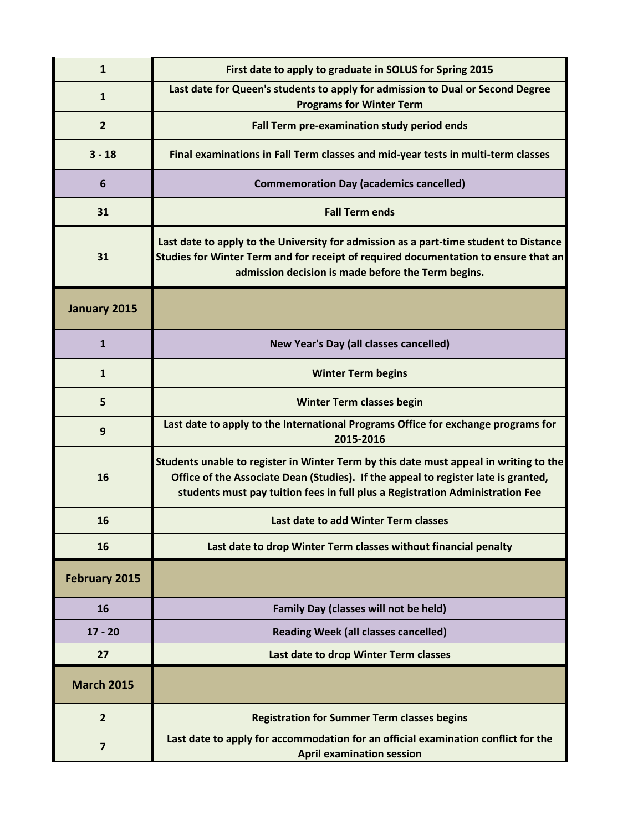| $\mathbf{1}$            | First date to apply to graduate in SOLUS for Spring 2015                                                                                                                                                                                                     |
|-------------------------|--------------------------------------------------------------------------------------------------------------------------------------------------------------------------------------------------------------------------------------------------------------|
| $\mathbf{1}$            | Last date for Queen's students to apply for admission to Dual or Second Degree<br><b>Programs for Winter Term</b>                                                                                                                                            |
| $\overline{2}$          | Fall Term pre-examination study period ends                                                                                                                                                                                                                  |
| $3 - 18$                | Final examinations in Fall Term classes and mid-year tests in multi-term classes                                                                                                                                                                             |
| 6                       | <b>Commemoration Day (academics cancelled)</b>                                                                                                                                                                                                               |
| 31                      | <b>Fall Term ends</b>                                                                                                                                                                                                                                        |
| 31                      | Last date to apply to the University for admission as a part-time student to Distance<br>Studies for Winter Term and for receipt of required documentation to ensure that an<br>admission decision is made before the Term begins.                           |
| January 2015            |                                                                                                                                                                                                                                                              |
| $\mathbf{1}$            | New Year's Day (all classes cancelled)                                                                                                                                                                                                                       |
| $\mathbf{1}$            | <b>Winter Term begins</b>                                                                                                                                                                                                                                    |
| 5                       | <b>Winter Term classes begin</b>                                                                                                                                                                                                                             |
| 9                       | Last date to apply to the International Programs Office for exchange programs for<br>2015-2016                                                                                                                                                               |
| 16                      | Students unable to register in Winter Term by this date must appeal in writing to the<br>Office of the Associate Dean (Studies). If the appeal to register late is granted,<br>students must pay tuition fees in full plus a Registration Administration Fee |
| 16                      | Last date to add Winter Term classes                                                                                                                                                                                                                         |
| 16                      | Last date to drop Winter Term classes without financial penalty                                                                                                                                                                                              |
| <b>February 2015</b>    |                                                                                                                                                                                                                                                              |
| 16                      | <b>Family Day (classes will not be held)</b>                                                                                                                                                                                                                 |
| $17 - 20$               | <b>Reading Week (all classes cancelled)</b>                                                                                                                                                                                                                  |
| 27                      | Last date to drop Winter Term classes                                                                                                                                                                                                                        |
| <b>March 2015</b>       |                                                                                                                                                                                                                                                              |
| $\overline{2}$          | <b>Registration for Summer Term classes begins</b>                                                                                                                                                                                                           |
| $\overline{\mathbf{z}}$ | Last date to apply for accommodation for an official examination conflict for the<br><b>April examination session</b>                                                                                                                                        |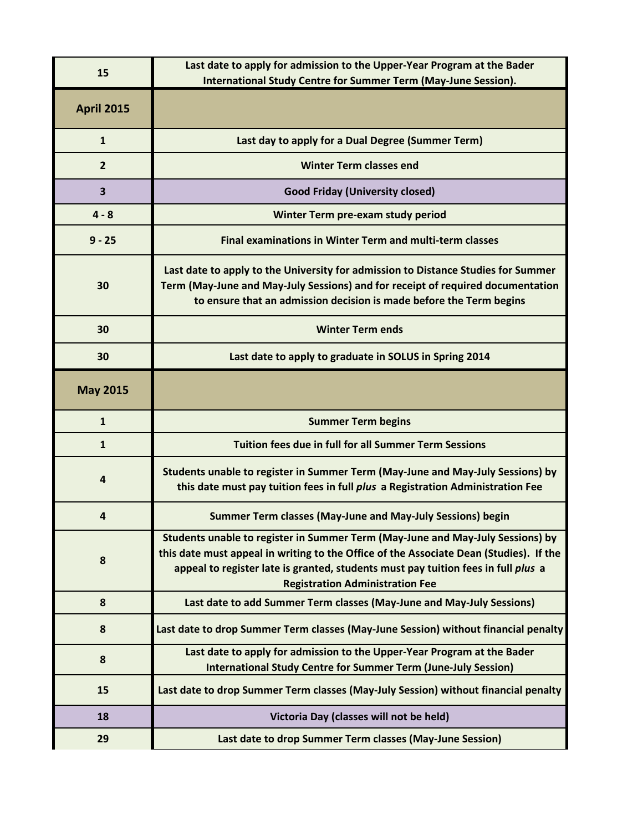| 15                | Last date to apply for admission to the Upper-Year Program at the Bader<br>International Study Centre for Summer Term (May-June Session).                                                                                                                                                               |
|-------------------|---------------------------------------------------------------------------------------------------------------------------------------------------------------------------------------------------------------------------------------------------------------------------------------------------------|
| <b>April 2015</b> |                                                                                                                                                                                                                                                                                                         |
| $\mathbf{1}$      | Last day to apply for a Dual Degree (Summer Term)                                                                                                                                                                                                                                                       |
| $\overline{2}$    | <b>Winter Term classes end</b>                                                                                                                                                                                                                                                                          |
| 3                 | <b>Good Friday (University closed)</b>                                                                                                                                                                                                                                                                  |
| $4 - 8$           | Winter Term pre-exam study period                                                                                                                                                                                                                                                                       |
| $9 - 25$          | Final examinations in Winter Term and multi-term classes                                                                                                                                                                                                                                                |
| 30                | Last date to apply to the University for admission to Distance Studies for Summer<br>Term (May-June and May-July Sessions) and for receipt of required documentation<br>to ensure that an admission decision is made before the Term begins                                                             |
| 30                | <b>Winter Term ends</b>                                                                                                                                                                                                                                                                                 |
| 30                | Last date to apply to graduate in SOLUS in Spring 2014                                                                                                                                                                                                                                                  |
| <b>May 2015</b>   |                                                                                                                                                                                                                                                                                                         |
| $\mathbf{1}$      | <b>Summer Term begins</b>                                                                                                                                                                                                                                                                               |
| $\mathbf{1}$      | <b>Tuition fees due in full for all Summer Term Sessions</b>                                                                                                                                                                                                                                            |
| $\overline{4}$    | Students unable to register in Summer Term (May-June and May-July Sessions) by                                                                                                                                                                                                                          |
|                   | this date must pay tuition fees in full plus a Registration Administration Fee                                                                                                                                                                                                                          |
| 4                 | Summer Term classes (May-June and May-July Sessions) begin                                                                                                                                                                                                                                              |
| 8                 | Students unable to register in Summer Term (May-June and May-July Sessions) by<br>this date must appeal in writing to the Office of the Associate Dean (Studies). If the<br>appeal to register late is granted, students must pay tuition fees in full plus a<br><b>Registration Administration Fee</b> |
| 8                 | Last date to add Summer Term classes (May-June and May-July Sessions)                                                                                                                                                                                                                                   |
| 8                 | Last date to drop Summer Term classes (May-June Session) without financial penalty                                                                                                                                                                                                                      |
| 8                 | Last date to apply for admission to the Upper-Year Program at the Bader<br><b>International Study Centre for Summer Term (June-July Session)</b>                                                                                                                                                        |
| 15                | Last date to drop Summer Term classes (May-July Session) without financial penalty                                                                                                                                                                                                                      |
| 18                | Victoria Day (classes will not be held)                                                                                                                                                                                                                                                                 |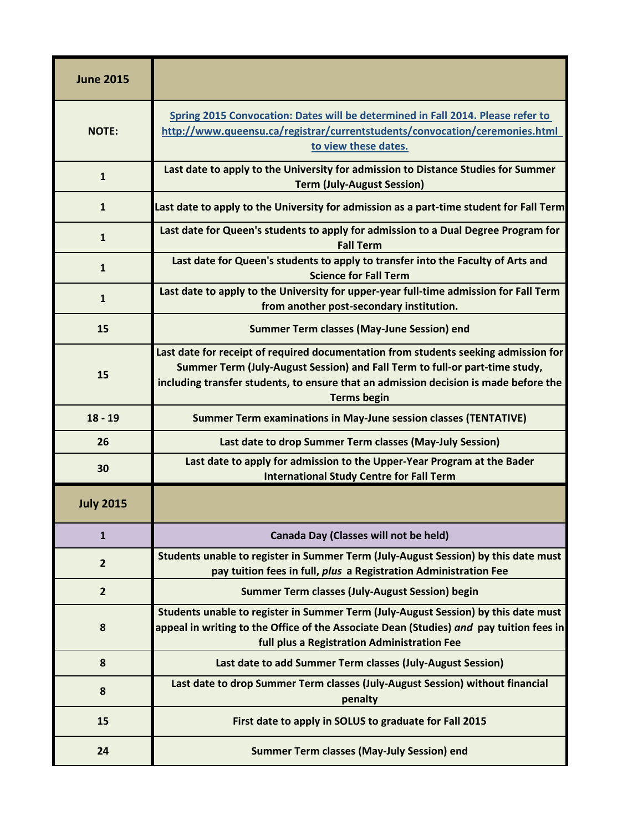| <b>June 2015</b> |                                                                                                                                                                                                                                                                                  |
|------------------|----------------------------------------------------------------------------------------------------------------------------------------------------------------------------------------------------------------------------------------------------------------------------------|
| <b>NOTE:</b>     | Spring 2015 Convocation: Dates will be determined in Fall 2014. Please refer to<br>http://www.queensu.ca/registrar/currentstudents/convocation/ceremonies.html<br>to view these dates.                                                                                           |
| $\mathbf{1}$     | Last date to apply to the University for admission to Distance Studies for Summer<br><b>Term (July-August Session)</b>                                                                                                                                                           |
| $\mathbf{1}$     | Last date to apply to the University for admission as a part-time student for Fall Term                                                                                                                                                                                          |
| $\mathbf{1}$     | Last date for Queen's students to apply for admission to a Dual Degree Program for<br><b>Fall Term</b>                                                                                                                                                                           |
| $\mathbf{1}$     | Last date for Queen's students to apply to transfer into the Faculty of Arts and<br><b>Science for Fall Term</b>                                                                                                                                                                 |
| $\mathbf{1}$     | Last date to apply to the University for upper-year full-time admission for Fall Term<br>from another post-secondary institution.                                                                                                                                                |
| 15               | <b>Summer Term classes (May-June Session) end</b>                                                                                                                                                                                                                                |
| 15               | Last date for receipt of required documentation from students seeking admission for<br>Summer Term (July-August Session) and Fall Term to full-or part-time study,<br>including transfer students, to ensure that an admission decision is made before the<br><b>Terms begin</b> |
| $18 - 19$        | <b>Summer Term examinations in May-June session classes (TENTATIVE)</b>                                                                                                                                                                                                          |
| 26               | Last date to drop Summer Term classes (May-July Session)                                                                                                                                                                                                                         |
| 30               | Last date to apply for admission to the Upper-Year Program at the Bader<br><b>International Study Centre for Fall Term</b>                                                                                                                                                       |
| <b>July 2015</b> |                                                                                                                                                                                                                                                                                  |
| $\mathbf{1}$     | Canada Day (Classes will not be held)                                                                                                                                                                                                                                            |
| $\overline{2}$   | Students unable to register in Summer Term (July-August Session) by this date must<br>pay tuition fees in full, plus a Registration Administration Fee                                                                                                                           |
| $\overline{2}$   | Summer Term classes (July-August Session) begin                                                                                                                                                                                                                                  |
| 8                | Students unable to register in Summer Term (July-August Session) by this date must<br>appeal in writing to the Office of the Associate Dean (Studies) and pay tuition fees in<br>full plus a Registration Administration Fee                                                     |
| 8                | Last date to add Summer Term classes (July-August Session)                                                                                                                                                                                                                       |
| 8                | Last date to drop Summer Term classes (July-August Session) without financial<br>penalty                                                                                                                                                                                         |
| 15               | First date to apply in SOLUS to graduate for Fall 2015                                                                                                                                                                                                                           |
| 24               | <b>Summer Term classes (May-July Session) end</b>                                                                                                                                                                                                                                |